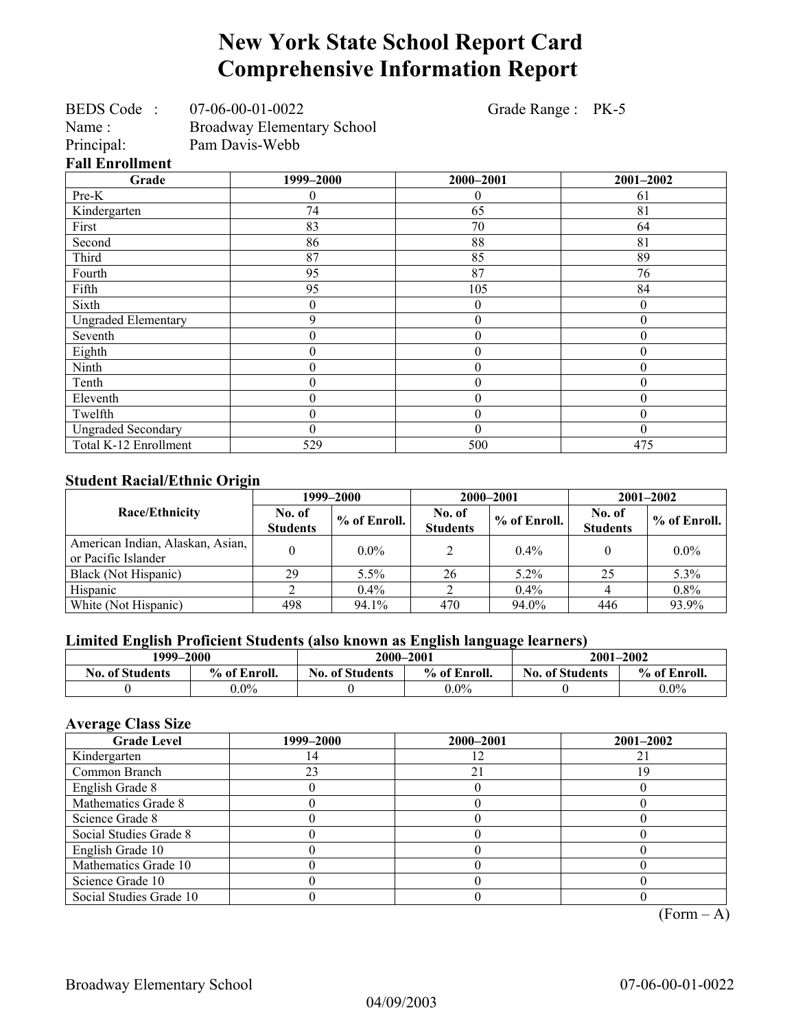# **New York State School Report Card Comprehensive Information Report**

Grade Range : PK-5

| <b>Broadway Elementary School</b><br>Pam Davis-Webb |
|-----------------------------------------------------|
|                                                     |
|                                                     |

**Grade** 1999–2000 2000–2001 2001–2002 Pre-K 0 0 61 Kindergarten 174 65 81 First 83 70 64 Second  $86$  88  $81$ Third 19 87 87 85 89 Fourth  $95$  87  $1$  76 Fifth 84 2005 2016 105 2016 Sixth  $\begin{array}{ccccccc} 0 & 0 & 0 & 0 & 0 \end{array}$ Ungraded Elementary 9 0 0 Seventh  $\begin{array}{ccccccc} 0 & 0 & 0 & 0 & 0 \\ \end{array}$ Eighth  $\begin{array}{cccc} \text{Eight} & 0 & 0 & 0 \\ \end{array}$ Ninth 0 0 0 Tenth  $\begin{array}{ccccccc} 0 & 0 & 0 & 0 & 0 \end{array}$ Eleventh  $\begin{array}{cccc} 0 & 0 & 0 \\ 0 & 0 & 0 \end{array}$  0 Twelfth  $\begin{array}{ccccccc} 0 & 0 & 0 & 0 & 0 \end{array}$ Ungraded Secondary (and a notation of the conduct of the conduct of the conduct of the conduct of the conduct o Total K-12 Enrollment 1 529 500 500 500 475

#### **Student Racial/Ethnic Origin**

|                                                         |                           | 1999–2000      | 2000-2001                 |              | $2001 - 2002$             |                |
|---------------------------------------------------------|---------------------------|----------------|---------------------------|--------------|---------------------------|----------------|
| Race/Ethnicity                                          | No. of<br><b>Students</b> | $%$ of Enroll. | No. of<br><b>Students</b> | % of Enroll. | No. of<br><b>Students</b> | $%$ of Enroll. |
| American Indian, Alaskan, Asian,<br>or Pacific Islander |                           | $0.0\%$        |                           | $0.4\%$      |                           | $0.0\%$        |
| Black (Not Hispanic)                                    | 29                        | $5.5\%$        | 26                        | $5.2\%$      | 25                        | 5.3%           |
| Hispanic                                                |                           | $0.4\%$        |                           | 0.4%         |                           | $0.8\%$        |
| White (Not Hispanic)                                    | 498                       | 94.1%          | 470                       | 94.0%        | 446                       | 93.9%          |

#### **Limited English Proficient Students (also known as English language learners)**

| 1999–2000              |              | 2000-2001              |              | 2001-2002              |              |
|------------------------|--------------|------------------------|--------------|------------------------|--------------|
| <b>No. of Students</b> | % of Enroll. | <b>No. of Students</b> | % of Enroll. | <b>No. of Students</b> | % of Enroll. |
|                        | $0.0\%$      |                        | $0.0\%$      |                        | $0.0\%$      |

### **Average Class Size**

| <b>Grade Level</b>      | 1999–2000 | 2000-2001 | $2001 - 2002$ |
|-------------------------|-----------|-----------|---------------|
| Kindergarten            |           |           |               |
| Common Branch           | 23        | 21        | 19            |
| English Grade 8         |           |           |               |
| Mathematics Grade 8     |           |           |               |
| Science Grade 8         |           |           |               |
| Social Studies Grade 8  |           |           |               |
| English Grade 10        |           |           |               |
| Mathematics Grade 10    |           |           |               |
| Science Grade 10        |           |           |               |
| Social Studies Grade 10 |           |           |               |

 $(Form – A)$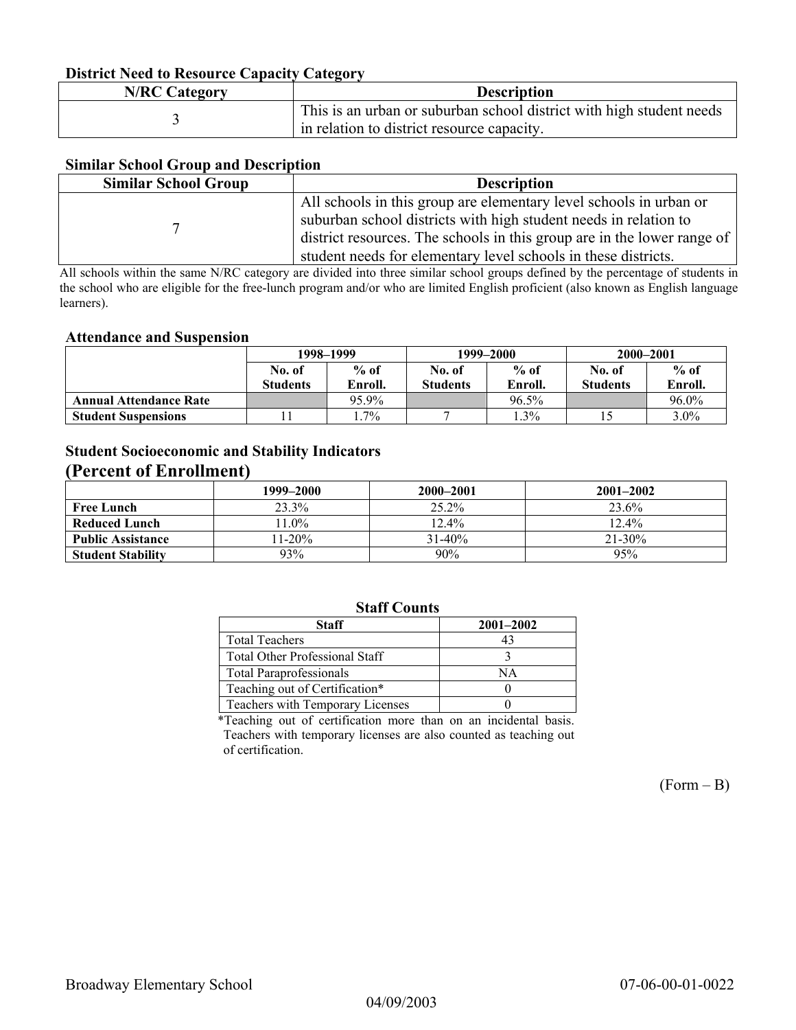#### **District Need to Resource Capacity Category**

| <b>N/RC Category</b> | <b>Description</b>                                                                                                 |
|----------------------|--------------------------------------------------------------------------------------------------------------------|
|                      | This is an urban or suburban school district with high student needs<br>in relation to district resource capacity. |

#### **Similar School Group and Description**

| <b>Similar School Group</b> | <b>Description</b>                                                      |
|-----------------------------|-------------------------------------------------------------------------|
|                             | All schools in this group are elementary level schools in urban or      |
|                             | suburban school districts with high student needs in relation to        |
|                             | district resources. The schools in this group are in the lower range of |
|                             | student needs for elementary level schools in these districts.          |

All schools within the same N/RC category are divided into three similar school groups defined by the percentage of students in the school who are eligible for the free-lunch program and/or who are limited English proficient (also known as English language learners).

#### **Attendance and Suspension**

|                               | 1998–1999        |         | 1999–2000        |          | 2000-2001       |         |
|-------------------------------|------------------|---------|------------------|----------|-----------------|---------|
|                               | $%$ of<br>No. of |         | $%$ of<br>No. of |          | No. of          | $%$ of  |
|                               | <b>Students</b>  | Enroll. | <b>Students</b>  | Enroll.  | <b>Students</b> | Enroll. |
| <b>Annual Attendance Rate</b> |                  | 95.9%   |                  | $96.5\%$ |                 | 96.0%   |
| <b>Student Suspensions</b>    |                  | $.7\%$  |                  | $0.3\%$  |                 | $3.0\%$ |

### **Student Socioeconomic and Stability Indicators (Percent of Enrollment)**

|                          | 1999–2000 | 2000-2001   | $2001 - 2002$ |
|--------------------------|-----------|-------------|---------------|
| <b>Free Lunch</b>        | 23.3%     | $25.2\%$    | 23.6%         |
| <b>Reduced Lunch</b>     | $1.0\%$   | $12.4\%$    | 12.4%         |
| <b>Public Assistance</b> | $11-20%$  | $31 - 40\%$ | 21-30%        |
| <b>Student Stability</b> | 93%       | 90%         | 95%           |

### **Staff Counts**

| <b>Staff</b>                          | $2001 - 2002$ |
|---------------------------------------|---------------|
| <b>Total Teachers</b>                 | 43            |
| <b>Total Other Professional Staff</b> |               |
| <b>Total Paraprofessionals</b>        | ΝA            |
| Teaching out of Certification*        |               |
| Teachers with Temporary Licenses      |               |

\*Teaching out of certification more than on an incidental basis. Teachers with temporary licenses are also counted as teaching out of certification.

 $(Form - B)$